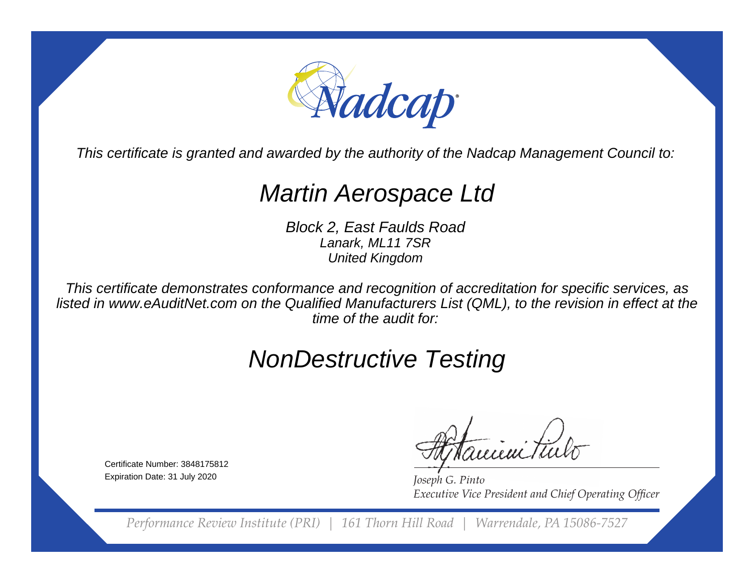

This certificate is granted and awarded by the authority of the Nadcap Management Council to:

## Martin Aerospace Ltd

Block 2, East Faulds RoadLanark, ML11 7SRUnited Kingdom

This certificate demonstrates conformance and recognition of accreditation for specific services, as listed in www.eAuditNet.com on the Qualified Manufacturers List (QML), to the revision in effect at thetime of the audit for:

## NonDestructive Testing

Certificate Number: 3848175812Expiration Date: 31 July 2020

eieni tii

*Joseph G. Pinto* **Executive Vice President and Chief Operating Officer** 

*Performance Review Institute (PRI) | 161 Thorn Hill Road | Warrendale, PA 15086-7527*